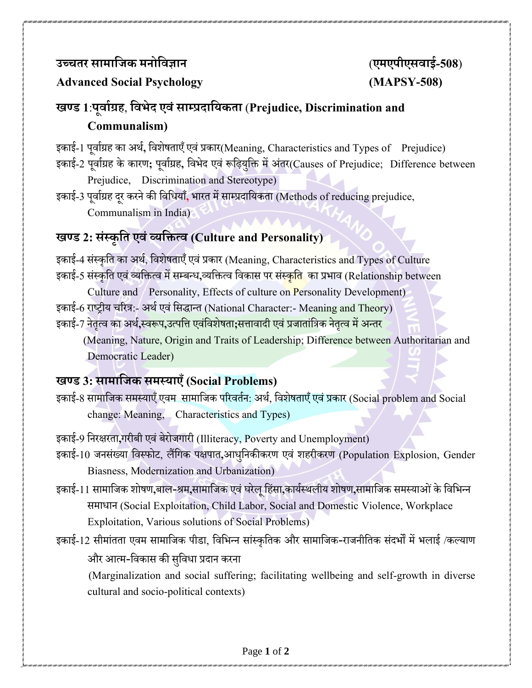## **उच्चतर सामाजिक मनोजिज्ञान** (**एमएपीएसिाई-508**)

#### **Advanced Social Psychology (MAPSY-508)**

# **खण्ड 1**:**पूिााग्रह**, **जिभेद एिंसाम्प्रदाजिकता** (**Prejudice, Discrimination and Communalism)**

इकाई-1 पूर्वाग्रह का अर्थ, विशेषताएँ एवं प्रकार(Meaning, Characteristics and Types of Prejudice)

- इकाई-2 पूर्वाग्रह के कारण; पूर्वाग्रह, विभेद एवं रूढ़ियुक्ति में अंतर(Causes of Prejudice; Difference between Prejudice, Discrimination and Stereotype)
- इकाई-3 पर्ूााग्रह दरूकरनेकी वर्वियाँ**,** भारत में साम्प्प्रदावयकता (Methods of reducing prejudice, Communalism in India)

## **खण्ड 2: संस्कृजत एिंव्िजित्ि (Culture and Personality)**

इकाई-4 संस्कृति का अर्थ, विशेषताएँ एवं प्रकार (Meaning, Characteristics and Types of Culture इकाई-5 संस्कृति एवं व्यक्तित्व में सम्बन्ध,व्यक्तित्व विकास पर संस्कृ<mark>ति</mark> का प्रभाव (Relationship between

Culture and Personality, Effects of culture on Personality Development) इकाई-6 राष्ट्रीय चरित्र:- अर्थ एवं सिद्धान्त (National Character:- Meaning and Theory) इकाई-7 नेतृत्व का अर्थ**,**स्वरूप,उत्पत्ति एवंविशेषता;सत्तावादी एवं प्रजातांत्रिक नेतृत्व में अन्तर

 (Meaning, Nature, Origin and Traits of Leadership; Difference between Authoritarian and Democratic Leader)

### **खण्ड 3: सामाजिक समस्िाएँ(Social Problems)**

- इकाई-8 सामाजिक समस्याएँ एवम सामाजिक परिवर्तन: अर्थ, विशेषताएँ एवं प्रकार (Social problem and Social change: Meaning, Characteristics and Types)
- इकाई-9 वनरक्षरता**,**गरीबी एर्ंबेरोजगारी (Illiteracy, Poverty and Unemployment)
- इकाई-10 जनसंख्या वर्स्फोट, लैंवगक पक्षपात**,**आिवुनकीकरण एर्ं शहरीकरण (Population Explosion, Gender Biasness, Modernization and Urbanization)
- इकाई-11 सामाजिक शोषण,बाल-श्रम,सामाजिक एवं घरेलू हिंसा,कार्यस्थलीय शोषण,सामाजिक समस्याओं के विभिन्न समाधान (Social Exploitation, Child Labor, Social and Domestic Violence, Workplace Exploitation, Various solutions of Social Problems)
- इकाई-12 सीमांतता एर्म सामावजक पीडा, वर्वभन्न सांस्कृवतक और सामावजक-राजनीवतक संदभों मेंभलाई /कल्याण और आत्म-विकास की सुविधा प्रदान करना

 (Marginalization and social suffering; facilitating wellbeing and self-growth in diverse cultural and socio-political contexts)